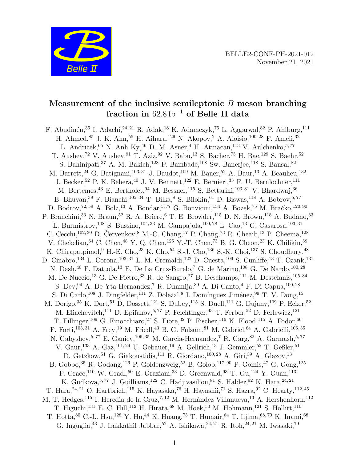

# Measurement of the inclusive semileptonic  $B$  meson branching fraction in  $62.8 \text{ fb}^{-1}$  of Belle II data

F. Abudinén,<sup>35</sup> I. Adachi,<sup>24, 21</sup> R. Adak,<sup>18</sup> K. Adamczyk,<sup>75</sup> L. Aggarwal,<sup>82</sup> P. Ahlburg,<sup>111</sup> H. Ahmed,<sup>85</sup> J. K. Ahn,<sup>55</sup> H. Aihara,<sup>129</sup> N. Akopov,<sup>2</sup> A. Aloisio,<sup>100,28</sup> F. Ameli,<sup>32</sup> L. Andricek, <sup>65</sup> N. Anh Ky, <sup>46</sup> D. M. Asner, <sup>4</sup> H. Atmacan, <sup>113</sup> V. Aulchenko, <sup>5, 77</sup> T. Aushev,<sup>72</sup> V. Aushev,<sup>91</sup> T. Aziz,<sup>92</sup> V. Babu,<sup>13</sup> S. Bacher,<sup>75</sup> H. Bae,<sup>129</sup> S. Baehr,<sup>52</sup> S. Bahinipati,  $37$  A. M. Bakich,  $128$  P. Bambade,  $108$  Sw. Banerjee,  $118$  S. Bansal,  $82$ M. Barrett,  $^{24}$  G. Batignani,  $^{103,\,31}$  J. Baudot,  $^{109}$  M. Bauer,  $^{52}$  A. Baur,  $^{13}$  A. Beaulieu,  $^{132}$ J. Becker, <sup>52</sup> P. K. Behera, <sup>40</sup> J. V. Bennett, <sup>122</sup> E. Bernieri, <sup>33</sup> F. U. Bernlochner, <sup>111</sup> M. Bertemes, <sup>43</sup> E. Bertholet, <sup>94</sup> M. Bessner, <sup>115</sup> S. Bettarini, <sup>103, 31</sup> V. Bhardwaj, <sup>36</sup> B. Bhuyan,<sup>38</sup> F. Bianchi,<sup>105,34</sup> T. Bilka,<sup>8</sup> S. Bilokin,<sup>61</sup> D. Biswas,<sup>118</sup> A. Bobrov,<sup>5,77</sup> D. Bodrov,  $^{72,59}$  A. Bolz,  $^{13}$  A. Bondar,  $^{5,77}$  G. Bonvicini,  $^{134}$  A. Bozek,  $^{75}$  M. Bračko,  $^{120,90}$ P. Branchini,<sup>33</sup> N. Braun,<sup>52</sup> R. A. Briere,<sup>6</sup> T. E. Browder,<sup>115</sup> D. N. Brown,<sup>118</sup> A. Budano,<sup>33</sup> L. Burmistrov,<sup>108</sup> S. Bussino,<sup>104, 33</sup> M. Campajola,<sup>100, 28</sup> L. Cao,<sup>13</sup> G. Casarosa,<sup>103, 31</sup> C. Cecchi,  $102, 30$  D. Červenkov,  $8$  M.-C. Chang,  $17$  P. Chang,  $73$  R. Cheaib,  $13$  P. Cheema,  $128$ V. Chekelian,  $64$  C. Chen,  $48$  Y. Q. Chen,  $125$  Y.-T. Chen,  $73$  B. G. Cheon,  $23$  K. Chilikin,  $59$ K. Chirapatpimol,  $9$  H.-E. Cho,  $23$  K. Cho,  $54$  S.-J. Cho,  $136$  S.-K. Choi,  $137$  S. Choudhury,  $48$ D. Cinabro,<sup>134</sup> L. Corona,<sup>103,31</sup> L. M. Cremaldi,<sup>122</sup> D. Cuesta,<sup>109</sup> S. Cunliffe,<sup>13</sup> T. Czank,<sup>131</sup> N. Dash,<sup>40</sup> F. Dattola,<sup>13</sup> E. De La Cruz-Burelo,<sup>7</sup> G. de Marino,<sup>108</sup> G. De Nardo,<sup>100,28</sup> M. De Nuccio,<sup>13</sup> G. De Pietro,<sup>33</sup> R. de Sangro,<sup>27</sup> B. Deschamps,<sup>111</sup> M. Destefanis,<sup>105,34</sup> S. Dey,  $94$  A. De Yta-Hernandez,<sup>7</sup> R. Dhamija,  $39$  A. Di Canto,  $4$  F. Di Capua,  $100, 28$ S. Di Carlo,<sup>108</sup> J. Dingfelder,<sup>111</sup> Z. Doležal,<sup>8</sup> I. Domínguez Jiménez,<sup>99</sup> T. V. Dong,<sup>15</sup> M. Dorigo, <sup>35</sup> K. Dort, <sup>51</sup> D. Dossett, <sup>121</sup> S. Dubey, <sup>115</sup> S. Duell, <sup>111</sup> G. Dujany, <sup>109</sup> P. Ecker, <sup>52</sup> M. Eliachevitch,<sup>111</sup> D. Epifanov,<sup>5,77</sup> P. Feichtinger,<sup>43</sup> T. Ferber,<sup>52</sup> D. Ferlewicz,<sup>121</sup> T. Fillinger,<sup>109</sup> G. Finocchiaro,<sup>27</sup> S. Fiore,<sup>32</sup> P. Fischer,<sup>116</sup> K. Flood,<sup>115</sup> A. Fodor,<sup>66</sup> F. Forti,<sup>103, 31</sup> A. Frey,<sup>19</sup> M. Friedl,<sup>43</sup> B. G. Fulsom,<sup>81</sup> M. Gabriel,<sup>64</sup> A. Gabrielli,<sup>106, 35</sup> N. Gabyshev,  $5,77$  E. Ganiev,  $106,35$  M. Garcia-Hernandez, <sup>7</sup> R. Garg, <sup>82</sup> A. Garmash,  $5,77$ V. Gaur,  $^{133}$  A. Gaz,  $^{101,29}$  U. Gebauer,  $^{19}$  A. Gellrich,  $^{13}$  J. Gemmler,  $^{52}$  T. Geßler,  $^{51}$ D. Getzkow, 51 G. Giakoustidis, 111 R. Giordano, 100, 28 A. Giri, 39 A. Glazov, 13 B. Gobbo,<sup>35</sup> R. Godang,<sup>126</sup> P. Goldenzweig,<sup>52</sup> B. Golob,117, 90 P. Gomis,<sup>47</sup> G. Gong,<sup>125</sup> P. Grace,<sup>110</sup> W. Gradl,<sup>50</sup> E. Graziani,<sup>33</sup> D. Greenwald,<sup>93</sup> T. Gu,<sup>124</sup> Y. Guan,<sup>113</sup> K. Gudkova, 5, 77 J. Guilliams,  $122$  C. Hadjivasiliou,  $81$  S. Halder,  $92$  K. Hara,  $24, 21$ T. Hara,  $^{24, 21}$  O. Hartbrich,  $^{115}$  K. Hayasaka,  $^{76}$  H. Hayashii,  $^{71}$  S. Hazra,  $^{92}$  C. Hearty,  $^{112, 45}$ M. T. Hedges,<sup>115</sup> I. Heredia de la Cruz,<sup>7,12</sup> M. Hernández Villanueva,<sup>13</sup> A. Hershenhorn,<sup>112</sup> T. Higuchi,<sup>131</sup> E. C. Hill,<sup>112</sup> H. Hirata,<sup>68</sup> M. Hoek,<sup>50</sup> M. Hohmann,<sup>121</sup> S. Hollitt,<sup>110</sup> T. Hotta, <sup>80</sup> C.-L. Hsu, <sup>128</sup> Y. Hu, <sup>44</sup> K. Huang, <sup>73</sup> T. Humair, <sup>64</sup> T. Iijima, <sup>68, 70</sup> K. Inami, <sup>68</sup> G. Inguglia, <sup>43</sup> J. Irakkathil Jabbar, <sup>52</sup> A. Ishikawa, <sup>24, 21</sup> R. Itoh, <sup>24, 21</sup> M. Iwasaki,<sup>79</sup>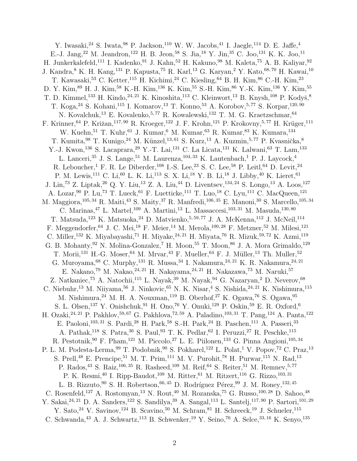Y. Iwasaki,  $^{24}$  S. Iwata,  $^{98}$  P. Jackson,  $^{110}$  W. W. Jacobs,  $^{41}$  I. Jaegle,  $^{114}$  D. E. Jaffe,  $^{4}$ E.-J. Jang,<sup>22</sup> M. Jeandron,<sup>122</sup> H. B. Jeon,<sup>58</sup> S. Jia,<sup>18</sup> Y. Jin,<sup>35</sup> C. Joo,<sup>131</sup> K. K. Joo,<sup>11</sup> H. Junkerkalefeld,<sup>111</sup> I. Kadenko,<sup>91</sup> J. Kahn,<sup>52</sup> H. Kakuno,<sup>98</sup> M. Kaleta,<sup>75</sup> A. B. Kaliyar,<sup>92</sup> J. Kandra, <sup>8</sup> K. H. Kang, <sup>131</sup> P. Kapusta, <sup>75</sup> R. Karl, <sup>13</sup> G. Karyan, <sup>2</sup> Y. Kato, <sup>68, 70</sup> H. Kawai, <sup>10</sup> T. Kawasaki,<sup>53</sup> C. Ketter,<sup>115</sup> H. Kichimi,<sup>24</sup> C. Kiesling,<sup>64</sup> B. H. Kim,<sup>86</sup> C.-H. Kim,<sup>23</sup> D. Y. Kim,  $89$  H. J. Kim,  $58$  K.-H. Kim,  $136$  K. Kim,  $55$  S.-H. Kim,  $86$  Y.-K. Kim,  $136$  Y. Kim,  $55$ T. D. Kimmel,<sup>133</sup> H. Kindo,<sup>24, 21</sup> K. Kinoshita,<sup>113</sup> C. Kleinwort,<sup>13</sup> B. Knysh,<sup>108</sup> P. Kodyš,<sup>8</sup> T. Koga,<sup>24</sup> S. Kohani,<sup>115</sup> I. Komarov,<sup>13</sup> T. Konno,<sup>53</sup> A. Korobov,<sup>5,77</sup> S. Korpar,<sup>120,90</sup> N. Kovalchuk,  $^{13}$  E. Kovalenko,  $^{5,77}$  R. Kowalewski,  $^{132}$  T. M. G. Kraetzschmar,  $^{64}$ F. Krinner,<sup>64</sup> P. Križan,<sup>117,90</sup> R. Kroeger,<sup>122</sup> J. F. Krohn,<sup>121</sup> P. Krokovny,<sup>5,77</sup> H. Krüger,<sup>111</sup> W. Kuehn, 51 T. Kuhr, 61 J. Kumar, 6 M. Kumar, 63 R. Kumar, 83 K. Kumara, 134 T. Kumita, <sup>98</sup> T. Kunigo, <sup>24</sup> M. Künzel, <sup>13, 61</sup> S. Kurz, <sup>13</sup> A. Kuzmin, <sup>5, 77</sup> P. Kvasnička, <sup>8</sup> Y.-J. Kwon,<sup>136</sup> S. Lacaprara,<sup>29</sup> Y.-T. Lai,<sup>131</sup> C. La Licata,<sup>131</sup> K. Lalwani,<sup>63</sup> T. Lam,<sup>133</sup> L. Lanceri,<sup>35</sup> J. S. Lange,<sup>51</sup> M. Laurenza,<sup>104,33</sup> K. Lautenbach,<sup>1</sup> P. J. Laycock,<sup>4</sup> R. Leboucher,<sup>1</sup> F. R. Le Diberder,<sup>108</sup> I.-S. Lee,<sup>23</sup> S. C. Lee,<sup>58</sup> P. Leitl,<sup>64</sup> D. Levit,<sup>24</sup> P. M. Lewis,<sup>111</sup> C. Li,<sup>60</sup> L. K. Li,<sup>113</sup> S. X. Li,<sup>18</sup> Y. B. Li,<sup>18</sup> J. Libby,<sup>40</sup> K. Lieret,<sup>61</sup> J. Lin,<sup>73</sup> Z. Liptak,<sup>26</sup> Q. Y. Liu,<sup>13</sup> Z. A. Liu,<sup>44</sup> D. Liventsev,<sup>134, 24</sup> S. Longo,<sup>13</sup> A. Loos,<sup>127</sup> A. Lozar, <sup>90</sup> P. Lu,<sup>73</sup> T. Lueck, <sup>61</sup> F. Luetticke, <sup>111</sup> T. Luo, <sup>18</sup> C. Lyu, <sup>111</sup> C. MacQueen, <sup>121</sup> M. Maggiora,<sup>105, 34</sup> R. Maiti,<sup>43</sup> S. Maity,<sup>37</sup> R. Manfredi,<sup>106, 35</sup> E. Manoni,<sup>30</sup> S. Marcello,<sup>105, 34</sup> C. Marinas,  $^{47}$  L. Martel,  $^{109}$  A. Martini,  $^{13}$  L. Massaccesi,  $^{103, \, 31}$  M. Masuda,  $^{130, \, 80}$ T. Matsuda,<sup>123</sup> K. Matsuoka,<sup>24</sup> D. Matvienko,<sup>5, 59, 77</sup> J. A. McKenna,<sup>112</sup> J. McNeil,<sup>114</sup> F. Meggendorfer, <sup>64</sup> J. C. Mei, <sup>18</sup> F. Meier, <sup>14</sup> M. Merola, <sup>100, 28</sup> F. Metzner, <sup>52</sup> M. Milesi, <sup>121</sup> C. Miller, <sup>132</sup> K. Miyabayashi,<sup>71</sup> H. Miyake, <sup>24, 21</sup> H. Miyata, <sup>76</sup> R. Mizuk, <sup>59, 72</sup> K. Azmi, <sup>119</sup> G. B. Mohanty,  $92$  N. Molina-Gonzalez, <sup>7</sup> H. Moon,  $55$  T. Moon,  $86$  J. A. Mora Grimaldo,  $129$ T. Morii,<sup>131</sup> H.-G. Moser,<sup>64</sup> M. Mrvar,<sup>43</sup> F. Mueller,<sup>64</sup> F. J. Müller,<sup>13</sup> Th. Muller,<sup>52</sup> G. Muroyama,  $^{68}$  C. Murphy,  $^{131}$  R. Mussa,  $^{34}$  I. Nakamura,  $^{24, 21}$  K. R. Nakamura,  $^{24, 21}$ E. Nakano,<sup>79</sup> M. Nakao,<sup>24, 21</sup> H. Nakayama,<sup>24, 21</sup> H. Nakazawa,<sup>73</sup> M. Naruki,<sup>57</sup> Z. Natkaniec,<sup>75</sup> A. Natochii,<sup>115</sup> L. Nayak,<sup>39</sup> M. Nayak,<sup>94</sup> G. Nazaryan,<sup>2</sup> D. Neverov,<sup>68</sup> C. Niebuhr,  $^{13}$ M. Niiyama, $^{56}$ J. Ninkovic,  $^{65}$ N. K. Nisar,  $^{4}$ S. Nishida, $^{24,\, 21}$ K. Nishimura, $^{115}$ M. Nishimura,<sup>24</sup> M. H. A. Nouxman,<sup>119</sup> B. Oberhof,<sup>27</sup> K. Ogawa,<sup>76</sup> S. Ogawa,<sup>95</sup> S. L. Olsen,<sup>137</sup> Y. Onishchuk,<sup>91</sup> H. Ono,<sup>76</sup> Y. Onuki,<sup>129</sup> P. Oskin,<sup>59</sup> E. R. Oxford,<sup>6</sup> H. Ozaki, <sup>24, 21</sup> P. Pakhlov, <sup>59, 67</sup> G. Pakhlova, <sup>72, 59</sup> A. Paladino, <sup>103, 31</sup> T. Pang, <sup>124</sup> A. Panta, <sup>122</sup> E. Paoloni,<sup>103, 31</sup> S. Pardi,<sup>28</sup> H. Park,<sup>58</sup> S.-H. Park,<sup>24</sup> B. Paschen,<sup>111</sup> A. Passeri,<sup>33</sup> A. Pathak,<sup>118</sup> S. Patra,<sup>36</sup> S. Paul,<sup>93</sup> T. K. Pedlar,<sup>62</sup> I. Peruzzi,<sup>27</sup> R. Peschke,<sup>115</sup> R. Pestotnik,  $90$  F. Pham,  $^{121}$  M. Piccolo,  $^{27}$  L. E. Piilonen,  $^{133}$  G. Pinna Angioni,  $^{105,34}$ P. L. M. Podesta-Lerma, <sup>99</sup> T. Podobnik, <sup>90</sup> S. Pokharel, <sup>122</sup> L. Polat, <sup>1</sup> V. Popov, <sup>72</sup> C. Praz, <sup>13</sup> S. Prell,<sup>48</sup> E. Prencipe,<sup>51</sup> M. T. Prim,<sup>111</sup> M. V. Purohit,<sup>78</sup> H. Purwar,<sup>115</sup> N. Rad,<sup>13</sup> P. Rados,  $^{43}$  S. Raiz,  $^{106,35}$  R. Rasheed,  $^{109}$  M. Reif,  $^{64}$  S. Reiter,  $^{51}$  M. Remnev,  $^{5,77}$ P. K. Resmi,  $^{40}$ I. Ripp-Baudot,  $^{109}$ M. Ritter,  $^{61}$ M. Ritzert,  $^{116}$ G. Rizzo,  $^{103,\,31}$ L. B. Rizzuto, <sup>90</sup> S. H. Robertson, <sup>66, 45</sup> D. Rodríguez Pérez, <sup>99</sup> J. M. Roney, <sup>132, 45</sup> C. Rosenfeld,<sup>127</sup> A. Rostomyan,<sup>13</sup> N. Rout,<sup>40</sup> M. Rozanska,<sup>75</sup> G. Russo,<sup>100, 28</sup> D. Sahoo,<sup>48</sup> Y. Sakai, <sup>24, 21</sup> D. A. Sanders, <sup>122</sup> S. Sandilya, <sup>39</sup> A. Sangal, <sup>113</sup> L. Santelj, <sup>117, 90</sup> P. Sartori, <sup>101, 29</sup> Y. Sato, <sup>24</sup> V. Savinov, <sup>124</sup> B. Scavino, <sup>50</sup> M. Schram, <sup>81</sup> H. Schreeck, <sup>19</sup> J. Schueler, <sup>115</sup> C. Schwanda, <sup>43</sup> A. J. Schwartz, <sup>113</sup> B. Schwenker, <sup>19</sup> Y. Seino, <sup>76</sup> A. Selce, <sup>33, 16</sup> K. Senyo, <sup>135</sup>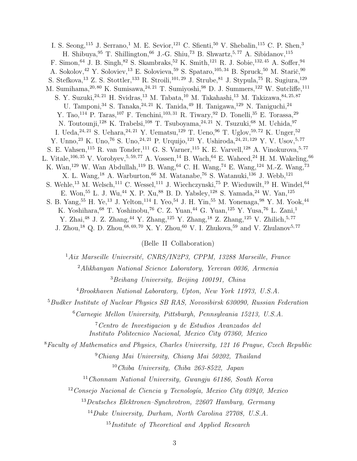I. S. Seong,<sup>115</sup> J. Serrano,<sup>1</sup> M. E. Sevior,<sup>121</sup> C. Sfienti,<sup>50</sup> V. Shebalin,<sup>115</sup> C. P. Shen,<sup>3</sup> H. Shibuya,  $95$  T. Shillington,  $66$  J.-G. Shiu,  $73$  B. Shwartz,  $5,77$  A. Sibidanov,  $115$ F. Simon, <sup>64</sup> J. B. Singh, <sup>82</sup> S. Skambraks, <sup>52</sup> K. Smith, <sup>121</sup> R. J. Sobie, <sup>132, 45</sup> A. Soffer, <sup>94</sup> A. Sokolov,  $42$  Y. Soloviev,  $13$  E. Solovieva,  $59$  S. Spataro,  $105, 34$  B. Spruck,  $50$  M. Stari $\check{\rm c}, 90$ S. Stefkova, <sup>13</sup> Z. S. Stottler, <sup>133</sup> R. Stroili, <sup>101, 29</sup> J. Strube, <sup>81</sup> J. Stypula, <sup>75</sup> R. Sugiura, <sup>129</sup> M. Sumihama,  $20, 80$  K. Sumisawa,  $24, 21$  T. Sumiyoshi,  $98$  D. J. Summers,  $122$  W. Sutcliffe,  $111$ S. Y. Suzuki,  $^{24, 21}$  H. Svidras,  $^{13}$  M. Tabata,  $^{10}$  M. Takahashi,  $^{13}$  M. Takizawa,  $^{84, 25, 87}$ U. Tamponi,  $^{34}$  S. Tanaka,  $^{24,\,21}$  K. Tanida,  $^{49}$  H. Tanigawa,  $^{129}$  N. Taniguchi,  $^{24}$ Y. Tao,<sup>114</sup> P. Taras,<sup>107</sup> F. Tenchini,<sup>103,31</sup> R. Tiwary,<sup>92</sup> D. Tonelli,<sup>35</sup> E. Torassa,<sup>29</sup> N. Toutounji,<sup>128</sup> K. Trabelsi,<sup>108</sup> T. Tsuboyama,<sup>24,21</sup> N. Tsuzuki,<sup>68</sup> M. Uchida,<sup>97</sup> I. Ueda,  $^{24, 21}$  S. Uehara,  $^{24, 21}$  Y. Uematsu,  $^{129}$  T. Ueno,  $^{96}$  T. Uglov,  $^{59, 72}$  K. Unger,  $^{52}$ Y. Unno,<sup>23</sup> K. Uno,<sup>76</sup> S. Uno,<sup>24, 21</sup> P. Urquijo,<sup>121</sup> Y. Ushiroda,<sup>24, 21, 129</sup> Y. V. Usov,<sup>5,77</sup> S. E. Vahsen,<sup>115</sup> R. van Tonder,<sup>111</sup> G. S. Varner,<sup>115</sup> K. E. Varvell,<sup>128</sup> A. Vinokurova,<sup>5,77</sup> L. Vitale,  $^{106,35}$  V. Vorobyev,  $^{5,59,77}$  A. Vossen,  $^{14}$  B. Wach,  $^{64}$  E. Waheed,  $^{24}$  H. M. Wakeling,  $^{66}$ K. Wan,<sup>129</sup> W. Wan Abdullah,<sup>119</sup> B. Wang,<sup>64</sup> C. H. Wang,<sup>74</sup> E. Wang,<sup>124</sup> M.-Z. Wang,<sup>73</sup> X. L. Wang,<sup>18</sup> A. Warburton,<sup>66</sup> M. Watanabe,<sup>76</sup> S. Watanuki,<sup>136</sup> J. Webb,<sup>121</sup> S. Wehle,<sup>13</sup> M. Welsch,<sup>111</sup> C. Wessel,<sup>111</sup> J. Wiechczynski,<sup>75</sup> P. Wieduwilt,<sup>19</sup> H. Windel,<sup>64</sup> E. Won, <sup>55</sup> L. J. Wu, <sup>44</sup> X. P. Xu, <sup>88</sup> B. D. Yabsley, <sup>128</sup> S. Yamada, <sup>24</sup> W. Yan, <sup>125</sup> S. B. Yang,<sup>55</sup> H. Ye,<sup>13</sup> J. Yelton,<sup>114</sup> I. Yeo,<sup>54</sup> J. H. Yin,<sup>55</sup> M. Yonenaga,<sup>98</sup> Y. M. Yook,<sup>44</sup> K. Yoshihara, <br/>68 T. Yoshinobu, 76 C. Z. Yuan, 44 G. Yuan,  $^{125}$  Y. Yusa, 76 L. Zani,<br/>1 Y. Zhai,<sup>48</sup> J. Z. Zhang,<sup>44</sup> Y. Zhang,<sup>125</sup> Y. Zhang,<sup>18</sup> Z. Zhang,<sup>125</sup> V. Zhilich,<sup>5,77</sup>

J. Zhou,<sup>18</sup> Q. D. Zhou,<sup>68, 69, 70</sup> X. Y. Zhou,<sup>60</sup> V. I. Zhukova,<sup>59</sup> and V. Zhulanov<sup>5, 77</sup>

(Belle II Collaboration)

 $1Aix$  Marseille Université, CNRS/IN2P3, CPPM, 13288 Marseille, France

<sup>2</sup>Alikhanyan National Science Laboratory, Yerevan 0036, Armenia <sup>3</sup>Beihang University, Beijing 100191, China

<sup>4</sup>Brookhaven National Laboratory, Upton, New York 11973, U.S.A.

<sup>5</sup>Budker Institute of Nuclear Physics SB RAS, Novosibirsk 630090, Russian Federation

<sup>6</sup>Carnegie Mellon University, Pittsburgh, Pennsylvania 15213, U.S.A.

<sup>7</sup>Centro de Investigacion y de Estudios Avanzados del Instituto Politecnico Nacional, Mexico City 07360, Mexico

<sup>8</sup>Faculty of Mathematics and Physics, Charles University, 121 16 Prague, Czech Republic

<sup>9</sup>Chiang Mai University, Chiang Mai 50202, Thailand <sup>10</sup>Chiba University, Chiba 263-8522, Japan

 $11$ Chonnam National University, Gwangju 61186, South Korea

 $12$ Consejo Nacional de Ciencia y Tecnología, Mexico City 03940, Mexico

<sup>13</sup>Deutsches Elektronen–Synchrotron, 22607 Hamburg, Germany

<sup>14</sup>Duke University, Durham, North Carolina 27708, U.S.A.

<sup>15</sup>Institute of Theoretical and Applied Research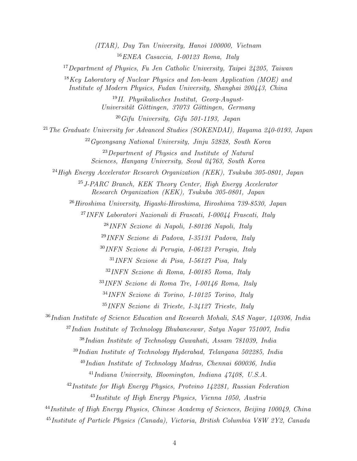(ITAR), Duy Tan University, Hanoi 100000, Vietnam <sup>16</sup>ENEA Casaccia, I-00123 Roma, Italy

<sup>17</sup> Department of Physics, Fu Jen Catholic University, Taipei 24205, Taiwan

 $18$ Key Laboratory of Nuclear Physics and Ion-beam Application (MOE) and Institute of Modern Physics, Fudan University, Shanghai 200443, China

> <sup>19</sup>II. Physikalisches Institut, Georg-August-Universität Göttingen, 37073 Göttingen, Germany

 $20\,G$ ifu University, Gifu 501-1193, Japan

<sup>21</sup> The Graduate University for Advanced Studies (SOKENDAI), Hayama  $240-0193$ , Japan

<sup>22</sup>Gyeongsang National University, Jinju 52828, South Korea

<sup>23</sup>Department of Physics and Institute of Natural Sciences, Hanyang University, Seoul 04763, South Korea

 $^{24}$ High Energy Accelerator Research Organization (KEK), Tsukuba 305-0801, Japan

 $^{25}$  J-PARC Branch, KEK Theory Center, High Energy Accelerator Research Organization (KEK), Tsukuba 305-0801, Japan

 $^{26}Hiroshima$  University, Higashi-Hiroshima, Hiroshima  $739-8530$ , Japan

<sup>27</sup>INFN Laboratori Nazionali di Frascati, I-00044 Frascati, Italy

<sup>28</sup>INFN Sezione di Napoli, I-80126 Napoli, Italy

<sup>29</sup>INFN Sezione di Padova, I-35131 Padova, Italy

<sup>30</sup>INFN Sezione di Perugia, I-06123 Perugia, Italy

<sup>31</sup>INFN Sezione di Pisa, I-56127 Pisa, Italy

<sup>32</sup>INFN Sezione di Roma, I-00185 Roma, Italy

<sup>33</sup>INFN Sezione di Roma Tre, I-00146 Roma, Italy

<sup>34</sup>INFN Sezione di Torino, I-10125 Torino, Italy

<sup>35</sup>INFN Sezione di Trieste, I-34127 Trieste, Italy

<sup>36</sup>Indian Institute of Science Education and Research Mohali, SAS Nagar, 140306, India

<sup>37</sup>Indian Institute of Technology Bhubaneswar, Satya Nagar 751007, India

<sup>38</sup>Indian Institute of Technology Guwahati, Assam 781039, India

 $39$ Indian Institute of Technology Hyderabad, Telangana 502285, India

 $^{40}$ Indian Institute of Technology Madras, Chennai 600036, India

 $^{41}$ Indiana University, Bloomington, Indiana  $47408$ , U.S.A.

 $^{42}$ Institute for High Energy Physics, Protvino 142281, Russian Federation

<sup>43</sup>Institute of High Energy Physics, Vienna 1050, Austria

<sup>44</sup>Institute of High Energy Physics, Chinese Academy of Sciences, Beijing 100049, China

<sup>45</sup>Institute of Particle Physics (Canada), Victoria, British Columbia V8W 2Y2, Canada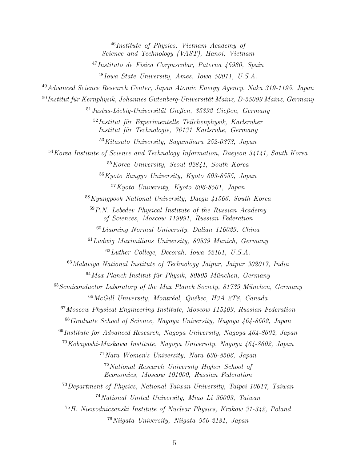Institute of Physics, Vietnam Academy of Science and Technology (VAST), Hanoi, Vietnam Instituto de Fisica Corpuscular, Paterna 46980, Spain Iowa State University, Ames, Iowa 50011, U.S.A. Advanced Science Research Center, Japan Atomic Energy Agency, Naka 319-1195, Japan Institut für Kernphysik, Johannes Gutenberg-Universität Mainz, D-55099 Mainz, Germany Justus-Liebig-Universität Gießen, 35392 Gießen, Germany Institut für Experimentelle Teilchenphysik, Karlsruher Institut für Technologie, 76131 Karlsruhe, Germany Kitasato University, Sagamihara 252-0373, Japan Korea Institute of Science and Technology Information, Daejeon 34141, South Korea Korea University, Seoul 02841, South Korea Kyoto Sangyo University, Kyoto 603-8555, Japan Kyoto University, Kyoto 606-8501, Japan Kyungpook National University, Daegu 41566, South Korea  $59P.N.$  Lebedev Physical Institute of the Russian Academy of Sciences, Moscow 119991, Russian Federation  $^{60}Li aoning$  Normal University, Dalian 116029, China  $^{61}Ludwig$  Maximilians University, 80539 Munich, Germany Luther College, Decorah, Iowa 52101, U.S.A. Malaviya National Institute of Technology Jaipur, Jaipur 302017, India Max-Planck-Institut für Physik, 80805 München, Germany Semiconductor Laboratory of the Max Planck Society, 81739 München, Germany McGill University, Montréal, Québec, H3A 2T8, Canada Moscow Physical Engineering Institute, Moscow 115409, Russian Federation Graduate School of Science, Nagoya University, Nagoya 464-8602, Japan Institute for Advanced Research, Nagoya University, Nagoya 464-8602, Japan Kobayashi-Maskawa Institute, Nagoya University, Nagoya 464-8602, Japan Nara Women's University, Nara 630-8506, Japan National Research University Higher School of Economics, Moscow 101000, Russian Federation Department of Physics, National Taiwan University, Taipei 10617, Taiwan National United University, Miao Li 36003, Taiwan H. Niewodniczanski Institute of Nuclear Physics, Krakow 31-342, Poland Niigata University, Niigata 950-2181, Japan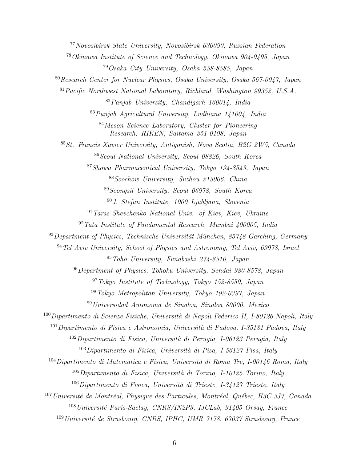Novosibirsk State University, Novosibirsk 630090, Russian Federation Okinawa Institute of Science and Technology, Okinawa 904-0495, Japan Osaka City University, Osaka 558-8585, Japan Research Center for Nuclear Physics, Osaka University, Osaka 567-0047, Japan Pacific Northwest National Laboratory, Richland, Washington 99352, U.S.A. Panjab University, Chandigarh 160014, India Punjab Agricultural University, Ludhiana 141004, India Meson Science Laboratory, Cluster for Pioneering Research, RIKEN, Saitama 351-0198, Japan St. Francis Xavier University, Antigonish, Nova Scotia, B2G 2W5, Canada Seoul National University, Seoul 08826, South Korea Showa Pharmaceutical University, Tokyo 194-8543, Japan Soochow University, Suzhou 215006, China Soongsil University, Seoul 06978, South Korea J. Stefan Institute, 1000 Ljubljana, Slovenia Taras Shevchenko National Univ. of Kiev, Kiev, Ukraine  $92 \text{ T}$ ata Institute of Fundamental Research, Mumbai 400005, India Department of Physics, Technische Universität München, 85748 Garching, Germany Tel Aviv University, School of Physics and Astronomy, Tel Aviv, 69978, Israel Toho University, Funabashi 274-8510, Japan Department of Physics, Tohoku University, Sendai 980-8578, Japan Tokyo Institute of Technology, Tokyo 152-8550, Japan Tokyo Metropolitan University, Tokyo 192-0397, Japan Universidad Autonoma de Sinaloa, Sinaloa 80000, Mexico Dipartimento di Scienze Fisiche, Università di Napoli Federico II, I-80126 Napoli, Italy Dipartimento di Fisica e Astronomia, Università di Padova, I-35131 Padova, Italy Dipartimento di Fisica, Università di Perugia, I-06123 Perugia, Italy Dipartimento di Fisica, Università di Pisa, I-56127 Pisa, Italy Dipartimento di Matematica e Fisica, Università di Roma Tre, I-00146 Roma, Italy Dipartimento di Fisica, Università di Torino, I-10125 Torino, Italy Dipartimento di Fisica, Università di Trieste, I-34127 Trieste, Italy Université de Montréal, Physique des Particules, Montréal, Québec, H3C 3J7, Canada <sup>108</sup> Université Paris-Saclay, CNRS/IN2P3, IJCLab, 91405 Orsay, France Université de Strasbourg, CNRS, IPHC, UMR 7178, 67037 Strasbourg, France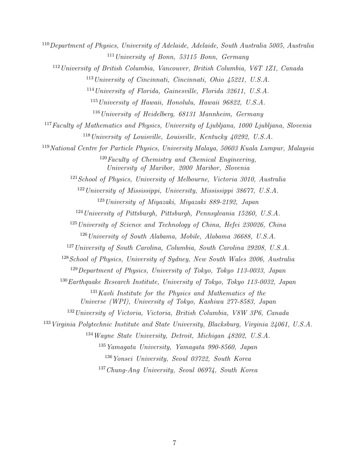Department of Physics, University of Adelaide, Adelaide, South Australia 5005, Australia University of Bonn, 53115 Bonn, Germany University of British Columbia, Vancouver, British Columbia, V6T 1Z1, Canada University of Cincinnati, Cincinnati, Ohio 45221, U.S.A. University of Florida, Gainesville, Florida 32611, U.S.A. University of Hawaii, Honolulu, Hawaii 96822, U.S.A. University of Heidelberg, 68131 Mannheim, Germany Faculty of Mathematics and Physics, University of Ljubliana, 1000 Ljubliana, Slovenia University of Louisville, Louisville, Kentucky 40292, U.S.A. National Centre for Particle Physics, University Malaya, 50603 Kuala Lumpur, Malaysia Faculty of Chemistry and Chemical Engineering, University of Maribor, 2000 Maribor, Slovenia <sup>121</sup> School of Physics, University of Melbourne, Victoria 3010, Australia University of Mississippi, University, Mississippi 38677, U.S.A. University of Miyazaki, Miyazaki 889-2192, Japan University of Pittsburgh, Pittsburgh, Pennsylvania 15260, U.S.A. University of Science and Technology of China, Hefei 230026, China University of South Alabama, Mobile, Alabama 36688, U.S.A. <sup>127</sup> University of South Carolina, Columbia, South Carolina 29208, U.S.A. School of Physics, University of Sydney, New South Wales 2006, Australia Department of Physics, University of Tokyo, Tokyo 113-0033, Japan Earthquake Research Institute, University of Tokyo, Tokyo 113-0032, Japan Kavli Institute for the Physics and Mathematics of the Universe (WPI), University of Tokyo, Kashiwa 277-8583, Japan University of Victoria, Victoria, British Columbia, V8W 3P6, Canada Virginia Polytechnic Institute and State University, Blacksburg, Virginia 24061, U.S.A. Wayne State University, Detroit, Michigan 48202, U.S.A.  $^{135}Ya$ magata University, Yamagata 990-8560, Japan Yonsei University, Seoul 03722, South Korea Chung-Ang University, Seoul 06974, South Korea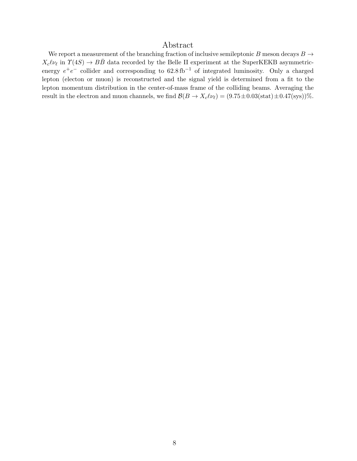# Abstract

We report a measurement of the branching fraction of inclusive semileptonic B meson decays  $B \to$  $X_c\ell\nu_\ell$  in  $\Upsilon(4S) \to B\bar{B}$  data recorded by the Belle II experiment at the SuperKEKB asymmetricenergy  $e^+e^-$  collider and corresponding to  $62.8 \text{ fb}^{-1}$  of integrated luminosity. Only a charged lepton (electon or muon) is reconstructed and the signal yield is determined from a fit to the lepton momentum distribution in the center-of-mass frame of the colliding beams. Averaging the result in the electron and muon channels, we find  $\mathcal{B}(B \to X_c \ell \nu_\ell) = (9.75 \pm 0.03(\text{stat}) \pm 0.47(\text{sys}))\%$ .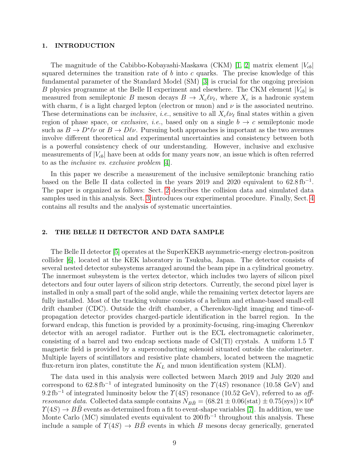#### 1. INTRODUCTION

The magnitude of the Cabibbo-Kobayashi-Maskawa (CKM) [\[1,](#page-15-0) [2\]](#page-15-1) matrix element  $|V_{cb}|$ squared determines the transition rate of  $b$  into  $c$  quarks. The precise knowledge of this fundamental parameter of the Standard Model (SM) [\[3\]](#page-15-2) is crucial for the ongoing precision B physics programme at the Belle II experiment and elsewhere. The CKM element  $|V_{cb}|$  is measured from semileptonic B meson decays  $B \to X_c \ell \nu_\ell$ , where  $X_c$  is a hadronic system with charm,  $\ell$  is a light charged lepton (electron or muon) and  $\nu$  is the associated neutrino. These determinations can be *inclusive*, *i.e.*, sensitive to all  $X_c\ell\nu_\ell$  final states within a given region of phase space, or *exclusive*, *i.e.*, based only on a single  $b \rightarrow c$  semileptonic mode such as  $B \to D^*\ell\nu$  or  $B \to D\ell\nu$ . Pursuing both approaches is important as the two avenues involve different theoretical and experimental uncertainties and consistency between both is a powerful consistency check of our understanding. However, inclusive and exclusive measurements of  $|V_{cb}|$  have been at odds for many years now, an issue which is often referred to as the inclusive vs. exclusive problem [\[4\]](#page-15-3).

In this paper we describe a measurement of the inclusive semileptonic branching ratio based on the Belle II data collected in the years 2019 and 2020 equivalent to  $62.8 \text{ fb}^{-1}$ . The paper is organized as follows: Sect. [2](#page-8-0) describes the collision data and simulated data samples used in this analysis. Sect. [3](#page-9-0) introduces our experimental procedure. Finally, Sect. [4](#page-11-0) contains all results and the analysis of systematic uncertainties.

# <span id="page-8-0"></span>2. THE BELLE II DETECTOR AND DATA SAMPLE

The Belle II detector [\[5\]](#page-15-4) operates at the SuperKEKB asymmetric-energy electron-positron collider [\[6\]](#page-15-5), located at the KEK laboratory in Tsukuba, Japan. The detector consists of several nested detector subsystems arranged around the beam pipe in a cylindrical geometry. The innermost subsystem is the vertex detector, which includes two layers of silicon pixel detectors and four outer layers of silicon strip detectors. Currently, the second pixel layer is installed in only a small part of the solid angle, while the remaining vertex detector layers are fully installed. Most of the tracking volume consists of a helium and ethane-based small-cell drift chamber (CDC). Outside the drift chamber, a Cherenkov-light imaging and time-ofpropagation detector provides charged-particle identification in the barrel region. In the forward endcap, this function is provided by a proximity-focusing, ring-imaging Cherenkov detector with an aerogel radiator. Further out is the ECL electromagnetic calorimeter, consisting of a barrel and two endcap sections made of CsI(Tl) crystals. A uniform 1.5 T magnetic field is provided by a superconducting solenoid situated outside the calorimeter. Multiple layers of scintillators and resistive plate chambers, located between the magnetic flux-return iron plates, constitute the  $K_L$  and muon identification system (KLM).

The data used in this analysis were collected between March 2019 and July 2020 and correspond to  $62.8 \text{ fb}^{-1}$  of integrated luminosity on the  $\Upsilon(4S)$  resonance (10.58 GeV) and 9.2 fb<sup>-1</sup> of integrated luminosity below the  $\Upsilon(4S)$  resonance (10.52 GeV), referred to as offresonance data. Collected data sample contains  $N_{B\bar{B}} = (68.21 \pm 0.06(\text{stat}) \pm 0.75(\text{sys})) \times 10^6$  $\Upsilon(4S) \rightarrow B\overline{B}$  events as determined from a fit to event-shape variables [\[7\]](#page-15-6). In addition, we use Monte Carlo (MC) simulated events equivalent to  $200 \text{ fb}^{-1}$  throughout this analysis. These include a sample of  $\Upsilon(4S) \rightarrow B\overline{B}$  events in which B mesons decay generically, generated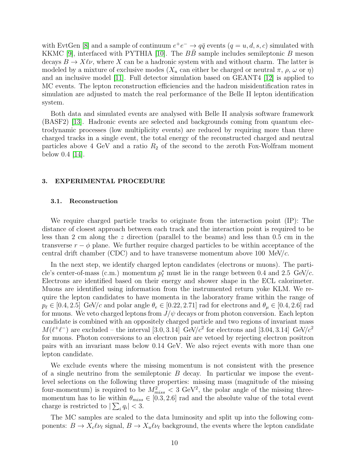with EvtGen [\[8\]](#page-15-7) and a sample of continuum  $e^+e^- \to q\bar{q}$  events  $(q=u, d, s, c)$  simulated with KKMC [\[9\]](#page-15-8), interfaced with PYTHIA [\[10\]](#page-15-9). The  $B\overline{B}$  sample includes semileptonic  $B$  meson decays  $B \to X\ell\nu$ , where X can be a hadronic system with and without charm. The latter is modeled by a mixture of exclusive modes  $(X_u$  can either be charged or neutral  $\pi$ ,  $\rho$ ,  $\omega$  or  $\eta$ ) and an inclusive model [\[11\]](#page-15-10). Full detector simulation based on GEANT4 [\[12\]](#page-15-11) is applied to MC events. The lepton reconstruction efficiencies and the hadron misidentification rates in simulation are adjusted to match the real performance of the Belle II lepton identification system.

Both data and simulated events are analysed with Belle II analysis software framework (BASF2) [\[13\]](#page-15-12). Hadronic events are selected and backgrounds coming from quantum electrodynamic processes (low multiplicity events) are reduced by requiring more than three charged tracks in a single event, the total energy of the reconstructed charged and neutral particles above 4 GeV and a ratio  $R_2$  of the second to the zeroth Fox-Wolfram moment below 0.4 [\[14\]](#page-15-13).

#### <span id="page-9-0"></span>3. EXPERIMENTAL PROCEDURE

# 3.1. Reconstruction

We require charged particle tracks to originate from the interaction point (IP): The distance of closest approach between each track and the interaction point is required to be less than 2 cm along the z direction (parallel to the beams) and less than 0.5 cm in the transverse  $r - \phi$  plane. We further require charged particles to be within acceptance of the central drift chamber (CDC) and to have transverse momentum above 100 MeV/ $c$ .

In the next step, we identify charged lepton candidates (electrons or muons). The particle's center-of-mass (c.m.) momentum  $p_{\ell}^*$  must lie in the range between 0.4 and 2.5 GeV/c. Electrons are identified based on their energy and shower shape in the ECL calorimeter. Muons are identified using information from the instrumented return yoke KLM. We require the lepton candidates to have momenta in the laboratory frame within the range of  $p_\ell \in [0.4, 2.5]$  GeV/c and polar angle  $\theta_e \in [0.22, 2.71]$  rad for electrons and  $\theta_\mu \in [0.4, 2.6]$  rad for muons. We veto charged leptons from  $J/\psi$  decays or from photon conversion. Each lepton candidate is combined with an oppositely charged particle and two regions of invariant mass  $M(\ell^+\ell^-)$  are excluded – the interval [3.0, 3.14] GeV/ $c^2$  for electrons and [3.04, 3.14] GeV/ $c^2$ for muons. Photon conversions to an electron pair are vetoed by rejecting electron positron pairs with an invariant mass below 0.14 GeV. We also reject events with more than one lepton candidate.

We exclude events where the missing momentum is not consistent with the presence of a single neutrino from the semileptonic  $B$  decay. In particular we impose the eventlevel selections on the following three properties: missing mass (magnitude of the missing four-momentum) is required to be  $M_{miss}^2 < 3 \text{ GeV}^2$ , the polar angle of the missing threemomentum has to lie within  $\theta_{miss} \in [0.3, 2.6]$  rad and the absolute value of the total event charge is restricted to  $|\sum_i q_i| < 3$ .

The MC samples are scaled to the data luminosity and split up into the following components:  $B \to X_c \ell \nu_\ell$  signal,  $B \to X_u \ell \nu_\ell$  background, the events where the lepton candidate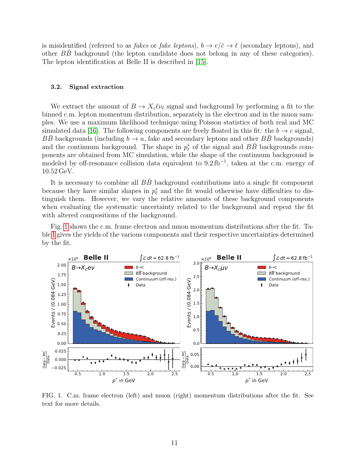is misidentified (referred to as *fakes* or *fake leptons*),  $b \rightarrow c/\bar{c} \rightarrow \ell$  (secondary leptons), and other  $BB$  background (the lepton candidate does not belong in any of these categories). The lepton identification at Belle II is described in [\[15\]](#page-15-14).

## 3.2. Signal extraction

We extract the amount of  $B \to X_c \ell \nu_\ell$  signal and background by performing a fit to the binned c.m. lepton momentum distribution, separately in the electron and in the muon samples. We use a maximum likelihood technique using Poisson statistics of both real and MC simulated data [\[16\]](#page-15-15). The following components are freely floated in this fit: the  $b \to c$  signal, BB backgrounds (including  $b \to u$ , fake and secondary leptons and other BB backgrounds) and the continuum background. The shape in  $p_{\ell}^*$  of the signal and  $B\bar{B}$  backgrounds components are obtained from MC simulation, while the shape of the continuum background is modeled by off-resonance collision data equivalent to 9.2 fb<sup>-1</sup>, taken at the c.m. energy of 10.52 GeV.

It is necessary to combine all  $BB$  background contributions into a single fit component because they have similar shapes in  $p_{\ell}^*$  and the fit would otherwise have difficulties to distinguish them. However, we vary the relative amounts of these background components when evaluating the systematic uncertainty related to the background and repeat the fit with altered compositions of the background.

Fig. [1](#page-10-0) shows the c.m. frame electron and muon momentum distributions after the fit. Table [I](#page-11-1) gives the yields of the various components and their respective uncertainties determined by the fit.



<span id="page-10-0"></span>FIG. 1. C.m. frame electron (left) and muon (right) momentum distributions after the fit. See text for more details.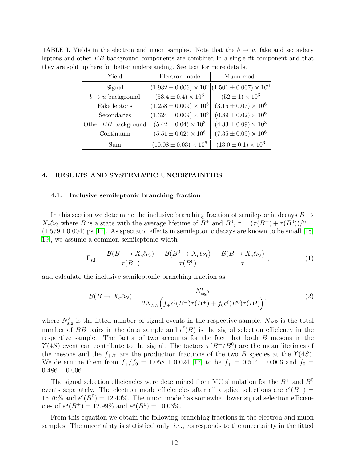<span id="page-11-1"></span>

| Yield                        | Electron mode                   | Muon mode                       |
|------------------------------|---------------------------------|---------------------------------|
| Signal                       | $(1.932 \pm 0.006) \times 10^6$ | $(1.501 \pm 0.007) \times 10^6$ |
| $b \rightarrow u$ background | $(53.4 \pm 0.4) \times 10^3$    | $(52 \pm 1) \times 10^3$        |
| Fake leptons                 | $(1.258 \pm 0.009) \times 10^6$ | $(3.15 \pm 0.07) \times 10^6$   |
| Secondaries                  | $(1.324 \pm 0.009) \times 10^6$ | $(0.89 \pm 0.02) \times 10^6$   |
| Other $B\bar{B}$ background  | $(5.42 \pm 0.04) \times 10^3$   | $(4.33 \pm 0.09) \times 10^3$   |
| Continuum                    | $(5.51 \pm 0.02) \times 10^6$   | $(7.35 \pm 0.09) \times 10^6$   |
| Sum                          | $(10.08 \pm 0.03) \times 10^6$  | $(13.0 \pm 0.1) \times 10^6$    |

TABLE I. Yields in the electron and muon samples. Note that the  $b \to u$ , fake and secondary leptons and other  $BB$  background components are combined in a single fit component and that they are split up here for better understanding. See text for more details.

#### <span id="page-11-0"></span>4. RESULTS AND SYSTEMATIC UNCERTAINTIES

# 4.1. Inclusive semileptonic branching fraction

In this section we determine the inclusive branching fraction of semileptonic decays  $B \to$  $X_c\ell\nu_\ell$  where B is a state with the average lifetime of  $B^+$  and  $B^0$ ,  $\tau = (\tau(B^+) + \tau(B^0))/2 =$  $(1.579 \pm 0.004)$  ps [\[17\]](#page-15-16). As spectator effects in semileptonic decays are known to be small [\[18,](#page-16-0) [19\]](#page-16-1), we assume a common semileptonic width

$$
\Gamma_{\text{s.l.}} = \frac{\mathcal{B}(B^+ \to X_c \ell \nu_\ell)}{\tau(B^+)} = \frac{\mathcal{B}(B^0 \to X_c \ell \nu_\ell)}{\tau(B^0)} = \frac{\mathcal{B}(B \to X_c \ell \nu_\ell)}{\tau}, \tag{1}
$$

and calculate the inclusive semileptonic branching fraction as

$$
\mathcal{B}(B \to X_c \ell \nu_\ell) = \frac{N_{\text{sig}}^{\ell} \tau}{2N_{B\bar{B}} \Big(f_+ \epsilon^{\ell}(B^+) \tau(B^+) + f_0 \epsilon^{\ell}(B^0) \tau(B^0)\Big)},\tag{2}
$$

where  $N^{\ell}_{\text{sig}}$  is the fitted number of signal events in the respective sample,  $N_{B\bar{B}}$  is the total number of  $B\bar{B}$  pairs in the data sample and  $\epsilon^{\ell}(B)$  is the signal selection efficiency in the respective sample. The factor of two accounts for the fact that both B mesons in the  $\Upsilon(4S)$  event can contribute to the signal. The factors  $\tau(B^+/B^0)$  are the mean lifetimes of the mesons and the  $f_{+/0}$  are the production fractions of the two B species at the  $\Upsilon(4S)$ . We determine them from  $f_{+}/f_0 = 1.058 \pm 0.024$  [\[17\]](#page-15-16) to be  $f_{+} = 0.514 \pm 0.006$  and  $f_0 =$  $0.486 \pm 0.006$ .

The signal selection efficiencies were determined from MC simulation for the  $B^+$  and  $B^0$ events separately. The electron mode efficiencies after all applied selections are  $\epsilon^e(B^+)$  = 15.76% and  $\epsilon^e(B^0) = 12.40\%$ . The muon mode has somewhat lower signal selection efficiencies of  $\epsilon^{\mu}(B^{+}) = 12.99\%$  and  $\epsilon^{\mu}(B^{0}) = 10.03\%$ .

From this equation we obtain the following branching fractions in the electron and muon samples. The uncertainty is statistical only, *i.e.*, corresponds to the uncertainty in the fitted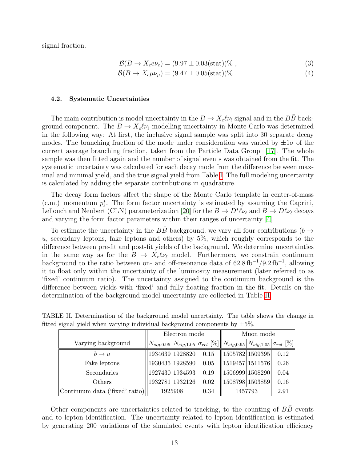signal fraction.

$$
\mathcal{B}(B \to X_c e \nu_e) = (9.97 \pm 0.03 \text{(stat)})\%,\tag{3}
$$

$$
\mathcal{B}(B \to X_c \mu \nu_\mu) = (9.47 \pm 0.05 \text{(stat)})\% \tag{4}
$$

#### 4.2. Systematic Uncertainties

The main contribution is model uncertainty in the  $B \to X_c \ell \nu_\ell$  signal and in the  $B\bar{B}$  background component. The  $B \to X_c \ell \nu_\ell$  modelling uncertainty in Monte Carlo was determined in the following way: At first, the inclusive signal sample was split into 30 separate decay modes. The branching fraction of the mode under consideration was varied by  $\pm 1\sigma$  of the current average branching fraction, taken from the Particle Data Group [\[17\]](#page-15-16). The whole sample was then fitted again and the number of signal events was obtained from the fit. The systematic uncertainty was calculated for each decay mode from the difference between maximal and minimal yield, and the true signal yield from Table [I.](#page-11-1) The full modeling uncertainty is calculated by adding the separate contributions in quadrature.

The decay form factors affect the shape of the Monte Carlo template in center-of-mass (c.m.) momentum  $p_{\ell}^*$ . The form factor uncertainty is estimated by assuming the Caprini, Lellouch and Neubert (CLN) parameterization [\[20\]](#page-16-2) for the  $B \to D^* \ell \nu_\ell$  and  $B \to D \ell \nu_\ell$  decays and varying the form factor parameters within their ranges of uncertainty [\[4\]](#page-15-3).

To estimate the uncertainty in the  $B\bar{B}$  background, we vary all four contributions ( $b \rightarrow$  $u$ , secondary leptons, fake leptons and others) by  $5\%$ , which roughly corresponds to the difference between pre-fit and post-fit yields of the background. We determine uncertainties in the same way as for the  $B \to X_c \ell \nu_\ell$  model. Furthermore, we constrain continuum background to the ratio between on- and off-resonance data of  $62.8 \text{ fb}^{-1}/9.2 \text{ fb}^{-1}$ , allowing it to float only within the uncertainty of the luminosity measurement (later referred to as 'fixed' continuum ratio). The uncertainty assigned to the continuum background is the difference between yields with 'fixed' and fully floating fraction in the fit. Details on the determination of the background model uncertainty are collected in Table [II.](#page-12-0)

<span id="page-12-0"></span>

|                                | Electron mode |                 |      | Muon mode                                                                                   |  |      |
|--------------------------------|---------------|-----------------|------|---------------------------------------------------------------------------------------------|--|------|
| Varying background             |               |                 |      | $N_{sig,0.95} N_{sig,1.05} \sigma_{rel}$ [%] $\ N_{sig,0.95} N_{sig,1.05} \sigma_{rel}$ [%] |  |      |
| $b \rightarrow u$              |               | 1934639 1928820 | 0.15 | $\ 1505782 1509395 $                                                                        |  | 0.12 |
| Fake leptons                   |               | 1930435 1928590 | 0.05 | $\ 1519457 1511576\ $                                                                       |  | 0.26 |
| Secondaries                    |               | 1927430 1934593 | 0.19 | 1506999 1508290                                                                             |  | 0.04 |
| Others                         |               | 1932781 1932126 | 0.02 | 1508798 1503859                                                                             |  | 0.16 |
| Continuum data ('fixed' ratio) | 1925908       |                 | 0.34 | 1457793                                                                                     |  | 2.91 |

TABLE II. Determination of the background model uncertainty. The table shows the change in fitted signal yield when varying individual background components by  $\pm 5\%$ .

Other components are uncertainties related to tracking, to the counting of  $B\overline{B}$  events and to lepton identification. The uncertainty related to lepton identification is estimated by generating 200 variations of the simulated events with lepton identification efficiency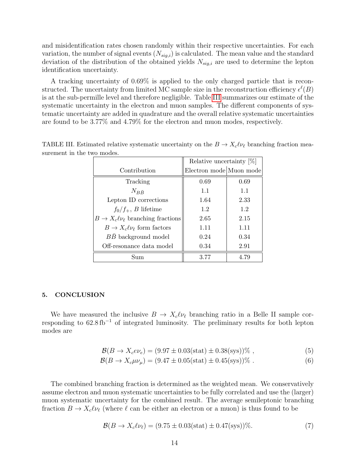and misidentification rates chosen randomly within their respective uncertainties. For each variation, the number of signal events  $(N_{sig,i})$  is calculated. The mean value and the standard deviation of the distribution of the obtained yields  $N_{sig,i}$  are used to determine the lepton identification uncertainty.

A tracking uncertainty of 0.69% is applied to the only charged particle that is reconstructed. The uncertainty from limited MC sample size in the reconstruction efficiency  $\epsilon^{\ell}(B)$ is at the sub-permille level and therefore negligible. Table [III](#page-13-0) summarizes our estimate of the systematic uncertainty in the electron and muon samples. The different components of systematic uncertainty are added in quadrature and the overall relative systematic uncertainties are found to be 3.77% and 4.79% for the electron and muon modes, respectively.

<span id="page-13-0"></span>

|                                               | Relative uncertainty $[\%]$ |      |  |
|-----------------------------------------------|-----------------------------|------|--|
| Contribution                                  | Electron mode Muon mode     |      |  |
| Tracking                                      | 0.69                        | 0.69 |  |
| $N_{B\bar{B}}$                                | 1.1                         | 1.1  |  |
| Lepton ID corrections                         | 1.64                        | 2.33 |  |
| $f_0/f_+, B$ lifetime                         | 1.2                         | 1.2  |  |
| $B \to X_c \ell \nu_\ell$ branching fractions | 2.65                        | 2.15 |  |
| $B \to X_c \ell \nu_\ell$ form factors        | 1.11                        | 1.11 |  |
| BB background model                           | 0.24                        | 0.34 |  |
| Off-resonance data model                      | 0.34                        | 2.91 |  |
| Sum                                           | 3.77                        | 4.79 |  |

TABLE III. Estimated relative systematic uncertainty on the  $B \to X_c \ell \nu_\ell$  branching fraction measurement in the two modes.

#### 5. CONCLUSION

We have measured the inclusive  $B \to X_c \ell \nu_\ell$  branching ratio in a Belle II sample corresponding to 62.8 fb<sup>−</sup><sup>1</sup> of integrated luminosity. The preliminary results for both lepton modes are

$$
\mathcal{B}(B \to X_c e \nu_e) = (9.97 \pm 0.03 \text{(stat)} \pm 0.38 \text{(sys)})\%,\tag{5}
$$

$$
\mathcal{B}(B \to X_c \mu \nu_\mu) = (9.47 \pm 0.05(\text{stat}) \pm 0.45(\text{sys}))\% \tag{6}
$$

The combined branching fraction is determined as the weighted mean. We conservatively assume electron and muon systematic uncertainties to be fully correlated and use the (larger) muon systematic uncertainty for the combined result. The average semileptonic branching fraction  $B \to X_c \ell \nu_\ell$  (where  $\ell$  can be either an electron or a muon) is thus found to be

$$
\mathcal{B}(B \to X_c \ell \nu_\ell) = (9.75 \pm 0.03 \text{(stat)} \pm 0.47 \text{(sys)})\%.
$$
 (7)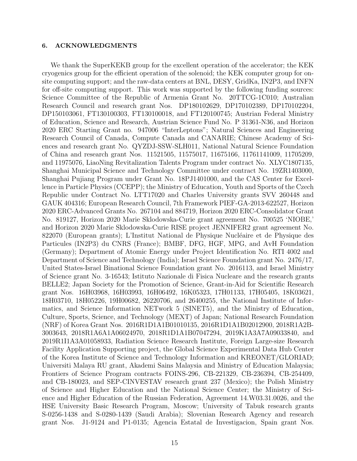# 6. ACKNOWLEDGMENTS

We thank the SuperKEKB group for the excellent operation of the accelerator; the KEK cryogenics group for the efficient operation of the solenoid; the KEK computer group for onsite computing support; and the raw-data centers at BNL, DESY, GridKa, IN2P3, and INFN for off-site computing support. This work was supported by the following funding sources: Science Committee of the Republic of Armenia Grant No. 20TTCG-1C010; Australian Research Council and research grant Nos. DP180102629, DP170102389, DP170102204, DP150103061, FT130100303, FT130100018, and FT120100745; Austrian Federal Ministry of Education, Science and Research, Austrian Science Fund No. P 31361-N36, and Horizon 2020 ERC Starting Grant no. 947006 "InterLeptons"; Natural Sciences and Engineering Research Council of Canada, Compute Canada and CANARIE; Chinese Academy of Sciences and research grant No. QYZDJ-SSW-SLH011, National Natural Science Foundation of China and research grant Nos. 11521505, 11575017, 11675166, 11761141009, 11705209, and 11975076, LiaoNing Revitalization Talents Program under contract No. XLYC1807135, Shanghai Municipal Science and Technology Committee under contract No. 19ZR1403000, Shanghai Pujiang Program under Grant No. 18PJ1401000, and the CAS Center for Excellence in Particle Physics (CCEPP); the Ministry of Education, Youth and Sports of the Czech Republic under Contract No. LTT17020 and Charles University grants SVV 260448 and GAUK 404316; European Research Council, 7th Framework PIEF-GA-2013-622527, Horizon 2020 ERC-Advanced Grants No. 267104 and 884719, Horizon 2020 ERC-Consolidator Grant No. 819127, Horizon 2020 Marie Sklodowska-Curie grant agreement No. 700525 'NIOBE,' and Horizon 2020 Marie Sklodowska-Curie RISE project JENNIFER2 grant agreement No. 822070 (European grants); L'Institut National de Physique Nucléaire et de Physique des Particules (IN2P3) du CNRS (France); BMBF, DFG, HGF, MPG, and AvH Foundation (Germany); Department of Atomic Energy under Project Identification No. RTI 4002 and Department of Science and Technology (India); Israel Science Foundation grant No. 2476/17, United States-Israel Binational Science Foundation grant No. 2016113, and Israel Ministry of Science grant No. 3-16543; Istituto Nazionale di Fisica Nucleare and the research grants BELLE2; Japan Society for the Promotion of Science, Grant-in-Aid for Scientific Research grant Nos. 16H03968, 16H03993, 16H06492, 16K05323, 17H01133, 17H05405, 18K03621, 18H03710, 18H05226, 19H00682, 26220706, and 26400255, the National Institute of Informatics, and Science Information NETwork 5 (SINET5), and the Ministry of Education, Culture, Sports, Science, and Technology (MEXT) of Japan; National Research Foundation (NRF) of Korea Grant Nos. 2016R1D1A1B01010135, 2016R1D1A1B02012900, 2018R1A2B-3003643, 2018R1A6A1A06024970, 2018R1D1A1B07047294, 2019K1A3A7A09033840, and 2019R1I1A3A01058933, Radiation Science Research Institute, Foreign Large-size Research Facility Application Supporting project, the Global Science Experimental Data Hub Center of the Korea Institute of Science and Technology Information and KREONET/GLORIAD; Universiti Malaya RU grant, Akademi Sains Malaysia and Ministry of Education Malaysia; Frontiers of Science Program contracts FOINS-296, CB-221329, CB-236394, CB-254409, and CB-180023, and SEP-CINVESTAV research grant 237 (Mexico); the Polish Ministry of Science and Higher Education and the National Science Center; the Ministry of Science and Higher Education of the Russian Federation, Agreement 14.W03.31.0026, and the HSE University Basic Research Program, Moscow; University of Tabuk research grants S-0256-1438 and S-0280-1439 (Saudi Arabia); Slovenian Research Agency and research grant Nos. J1-9124 and P1-0135; Agencia Estatal de Investigacion, Spain grant Nos.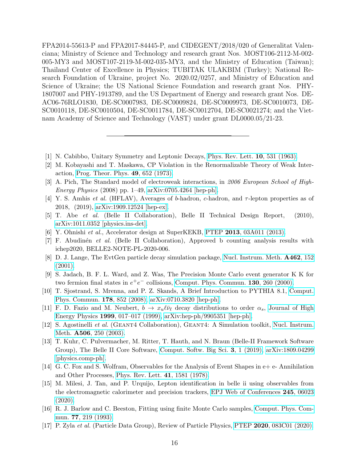FPA2014-55613-P and FPA2017-84445-P, and CIDEGENT/2018/020 of Generalitat Valenciana; Ministry of Science and Technology and research grant Nos. MOST106-2112-M-002- 005-MY3 and MOST107-2119-M-002-035-MY3, and the Ministry of Education (Taiwan); Thailand Center of Excellence in Physics; TUBITAK ULAKBIM (Turkey); National Research Foundation of Ukraine, project No. 2020.02/0257, and Ministry of Education and Science of Ukraine; the US National Science Foundation and research grant Nos. PHY-1807007 and PHY-1913789, and the US Department of Energy and research grant Nos. DE-AC06-76RLO1830, DE-SC0007983, DE-SC0009824, DE-SC0009973, DE-SC0010073, DE-SC0010118, DE-SC0010504, DE-SC0011784, DE-SC0012704, DE-SC0021274; and the Vietnam Academy of Science and Technology (VAST) under grant DL0000.05/21-23.

- <span id="page-15-1"></span><span id="page-15-0"></span>[1] N. Cabibbo, Unitary Symmetry and Leptonic Decays, [Phys. Rev. Lett.](https://doi.org/10.1103/PhysRevLett.10.531) 10, 531 (1963).
- [2] M. Kobayashi and T. Maskawa, CP Violation in the Renormalizable Theory of Weak Interaction, [Prog. Theor. Phys.](https://doi.org/10.1143/PTP.49.652) 49, 652 (1973).
- <span id="page-15-2"></span>[3] A. Pich, The Standard model of electroweak interactions, in 2006 European School of High-*Energy Physics* (2008) pp. 1–49,  $arXiv:0705.4264$  [hep-ph].
- <span id="page-15-3"></span>[4] Y. S. Amhis et al. (HFLAV), Averages of b-hadron, c-hadron, and  $\tau$ -lepton properties as of 2018, (2019), [arXiv:1909.12524 \[hep-ex\].](https://arxiv.org/abs/1909.12524)
- <span id="page-15-4"></span>[5] T. Abe et al. (Belle II Collaboration), Belle II Technical Design Report, (2010), [arXiv:1011.0352 \[physics.ins-det\].](https://arxiv.org/abs/1011.0352)
- <span id="page-15-5"></span>[6] Y. Ohnishi et al., Accelerator design at SuperKEKB, PTEP 2013[, 03A011 \(2013\).](https://doi.org/10.1093/ptep/pts083)
- <span id="page-15-6"></span>[7] F. Abudin´en et al. (Belle II Collaboration), Approved b counting analysis results with ichep2020, BELLE2-NOTE-PL-2020-006.
- <span id="page-15-7"></span>[8] D. J. Lange, The EvtGen particle decay simulation package, [Nucl. Instrum. Meth.](https://doi.org/10.1016/S0168-9002(01)00089-4) A462, 152 [\(2001\).](https://doi.org/10.1016/S0168-9002(01)00089-4)
- <span id="page-15-8"></span>[9] S. Jadach, B. F. L. Ward, and Z. Was, The Precision Monte Carlo event generator K K for two fermion final states in  $e^+e^-$  collisions, [Comput. Phys. Commun.](https://doi.org/10.1016/S0010-4655(00)00048-5) 130, 260 (2000).
- <span id="page-15-9"></span>[10] T. Sjostrand, S. Mrenna, and P. Z. Skands, A Brief Introduction to PYTHIA 8.1, [Comput.](https://doi.org/10.1016/j.cpc.2008.01.036) [Phys. Commun.](https://doi.org/10.1016/j.cpc.2008.01.036) 178, 852 (2008), [arXiv:0710.3820 \[hep-ph\].](https://arxiv.org/abs/0710.3820)
- <span id="page-15-10"></span>[11] F. D. Fazio and M. Neubert,  $b \to x_u \ell \bar{\nu}_\ell$  decay distributions to order  $\alpha_s$ , [Journal of High](https://doi.org/10.1088/1126-6708/1999/06/017) Energy Physics 1999[, 017–017 \(1999\),](https://doi.org/10.1088/1126-6708/1999/06/017) [arXiv:hep-ph/9905351 \[hep-ph\].](https://arxiv.org/abs/hep-ph/9905351)
- <span id="page-15-11"></span>[12] S. Agostinelli et al. (Geant4 Collaboration), Geant4: A Simulation toolkit, [Nucl. Instrum.](https://doi.org/10.1016/S0168-9002(03)01368-8) Meth. A506[, 250 \(2003\).](https://doi.org/10.1016/S0168-9002(03)01368-8)
- <span id="page-15-12"></span>[13] T. Kuhr, C. Pulvermacher, M. Ritter, T. Hauth, and N. Braun (Belle-II Framework Software Group), The Belle II Core Software, [Comput. Softw. Big Sci.](https://doi.org/10.1007/s41781-018-0017-9) 3, 1 (2019), [arXiv:1809.04299](https://arxiv.org/abs/1809.04299) [\[physics.comp-ph\].](https://arxiv.org/abs/1809.04299)
- <span id="page-15-13"></span>[14] G. C. Fox and S. Wolfram, Observables for the Analysis of Event Shapes in e+ e- Annihilation and Other Processes, [Phys. Rev. Lett.](https://doi.org/10.1103/PhysRevLett.41.1581) 41, 1581 (1978).
- <span id="page-15-14"></span>[15] M. Milesi, J. Tan, and P. Urquijo, Lepton identification in belle ii using observables from the electromagnetic calorimeter and precision trackers, [EPJ Web of Conferences](https://doi.org/10.1051/epjconf/202024506023) 245, 06023 [\(2020\).](https://doi.org/10.1051/epjconf/202024506023)
- <span id="page-15-15"></span>[16] R. J. Barlow and C. Beeston, Fitting using finite Monte Carlo samples, [Comput. Phys. Com](https://doi.org/10.1016/0010-4655(93)90005-W)mun. 77[, 219 \(1993\).](https://doi.org/10.1016/0010-4655(93)90005-W)
- <span id="page-15-16"></span>[17] P. Zyla et al. (Particle Data Group), Review of Particle Physics, PTEP 2020[, 083C01 \(2020\).](https://doi.org/10.1093/ptep/ptaa104)